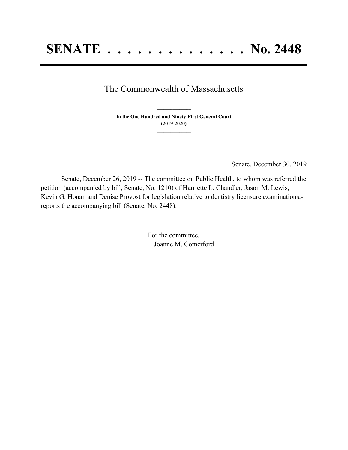## The Commonwealth of Massachusetts

**In the One Hundred and Ninety-First General Court (2019-2020) \_\_\_\_\_\_\_\_\_\_\_\_\_\_\_**

**\_\_\_\_\_\_\_\_\_\_\_\_\_\_\_**

Senate, December 30, 2019

Senate, December 26, 2019 -- The committee on Public Health, to whom was referred the petition (accompanied by bill, Senate, No. 1210) of Harriette L. Chandler, Jason M. Lewis, Kevin G. Honan and Denise Provost for legislation relative to dentistry licensure examinations, reports the accompanying bill (Senate, No. 2448).

> For the committee, Joanne M. Comerford